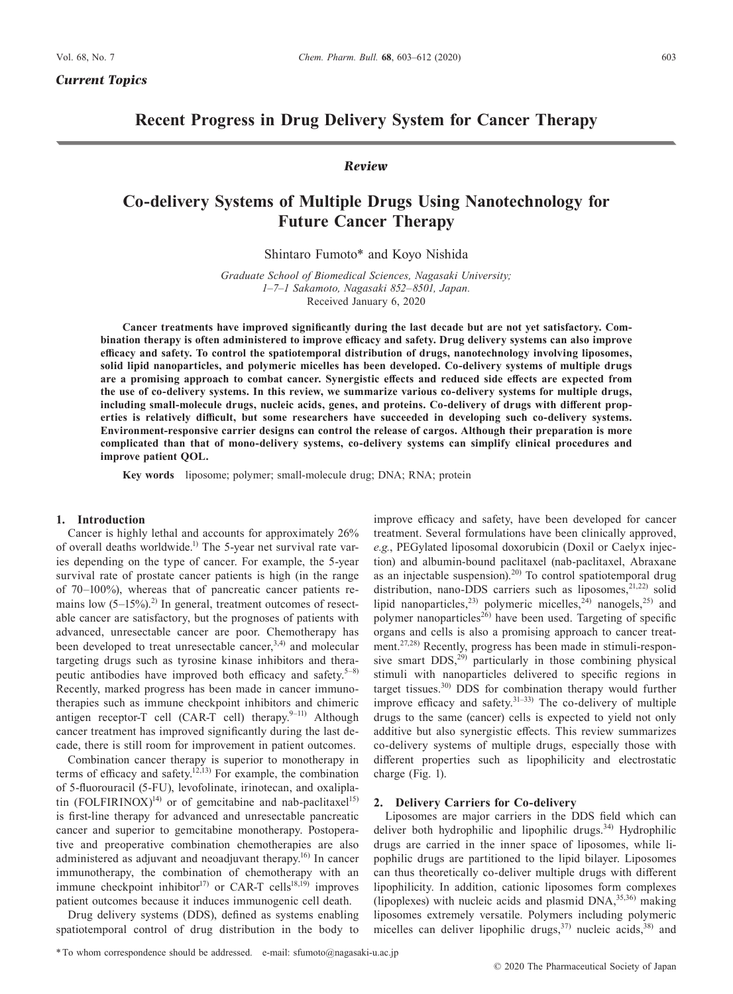*Current Topics*

# **Recent Progress in Drug Delivery System for Cancer Therapy**

# *Review*

# **Co-delivery Systems of Multiple Drugs Using Nanotechnology for Future Cancer Therapy**

Shintaro Fumoto\* and Koyo Nishida

*Graduate School of Biomedical Sciences, Nagasaki University; 1–7–1 Sakamoto, Nagasaki 852–8501, Japan.* Received January 6, 2020

**Cancer treatments have improved significantly during the last decade but are not yet satisfactory. Combination therapy is often administered to improve efficacy and safety. Drug delivery systems can also improve efficacy and safety. To control the spatiotemporal distribution of drugs, nanotechnology involving liposomes, solid lipid nanoparticles, and polymeric micelles has been developed. Co-delivery systems of multiple drugs are a promising approach to combat cancer. Synergistic effects and reduced side effects are expected from the use of co-delivery systems. In this review, we summarize various co-delivery systems for multiple drugs, including small-molecule drugs, nucleic acids, genes, and proteins. Co-delivery of drugs with different properties is relatively difficult, but some researchers have succeeded in developing such co-delivery systems. Environment-responsive carrier designs can control the release of cargos. Although their preparation is more complicated than that of mono-delivery systems, co-delivery systems can simplify clinical procedures and improve patient QOL.**

**Key words** liposome; polymer; small-molecule drug; DNA; RNA; protein

## **1. Introduction**

Cancer is highly lethal and accounts for approximately 26% of overall deaths worldwide.<sup>1)</sup> The 5-year net survival rate varies depending on the type of cancer. For example, the 5-year survival rate of prostate cancer patients is high (in the range of 70–100%), whereas that of pancreatic cancer patients remains low  $(5-15\%)$ .<sup>2)</sup> In general, treatment outcomes of resectable cancer are satisfactory, but the prognoses of patients with advanced, unresectable cancer are poor. Chemotherapy has been developed to treat unresectable cancer,  $3,4)$  and molecular targeting drugs such as tyrosine kinase inhibitors and therapeutic antibodies have improved both efficacy and safety. $5-8$ ) Recently, marked progress has been made in cancer immunotherapies such as immune checkpoint inhibitors and chimeric antigen receptor-T cell (CAR-T cell) therapy.<sup>9-11)</sup> Although cancer treatment has improved significantly during the last decade, there is still room for improvement in patient outcomes.

Combination cancer therapy is superior to monotherapy in terms of efficacy and safety.<sup>12,13)</sup> For example, the combination of 5-fluorouracil (5-FU), levofolinate, irinotecan, and oxaliplatin  $(FOLFIRINOX)^{14}$  or of gemcitabine and nab-paclitaxel<sup>15)</sup> is first-line therapy for advanced and unresectable pancreatic cancer and superior to gemcitabine monotherapy. Postoperative and preoperative combination chemotherapies are also administered as adjuvant and neoadjuvant therapy.<sup>16)</sup> In cancer immunotherapy, the combination of chemotherapy with an immune checkpoint inhibitor<sup>17)</sup> or CAR-T cells<sup>18,19)</sup> improves patient outcomes because it induces immunogenic cell death.

Drug delivery systems (DDS), defined as systems enabling spatiotemporal control of drug distribution in the body to

improve efficacy and safety, have been developed for cancer treatment. Several formulations have been clinically approved, *e.g.*, PEGylated liposomal doxorubicin (Doxil or Caelyx injection) and albumin-bound paclitaxel (nab-paclitaxel, Abraxane as an injectable suspension).<sup>20)</sup> To control spatiotemporal drug distribution, nano-DDS carriers such as liposomes,<sup>21,22)</sup> solid lipid nanoparticles,<sup>23)</sup> polymeric micelles,<sup>24)</sup> nanogels,<sup>25)</sup> and polymer nanoparticles<sup>26)</sup> have been used. Targeting of specific organs and cells is also a promising approach to cancer treatment.<sup>27,28)</sup> Recently, progress has been made in stimuli-responsive smart  $DDS<sub>1</sub><sup>29)</sup>$  particularly in those combining physical stimuli with nanoparticles delivered to specific regions in target tissues.30) DDS for combination therapy would further improve efficacy and safety. $31-33$ ) The co-delivery of multiple drugs to the same (cancer) cells is expected to yield not only additive but also synergistic effects. This review summarizes co-delivery systems of multiple drugs, especially those with different properties such as lipophilicity and electrostatic charge (Fig. 1).

### **2. Delivery Carriers for Co-delivery**

Liposomes are major carriers in the DDS field which can deliver both hydrophilic and lipophilic drugs.<sup>34)</sup> Hydrophilic drugs are carried in the inner space of liposomes, while lipophilic drugs are partitioned to the lipid bilayer. Liposomes can thus theoretically co-deliver multiple drugs with different lipophilicity. In addition, cationic liposomes form complexes (lipoplexes) with nucleic acids and plasmid  $DNA$ ,  $35,36)$  making liposomes extremely versatile. Polymers including polymeric micelles can deliver lipophilic drugs,  $37$ ) nucleic acids,  $38$ ) and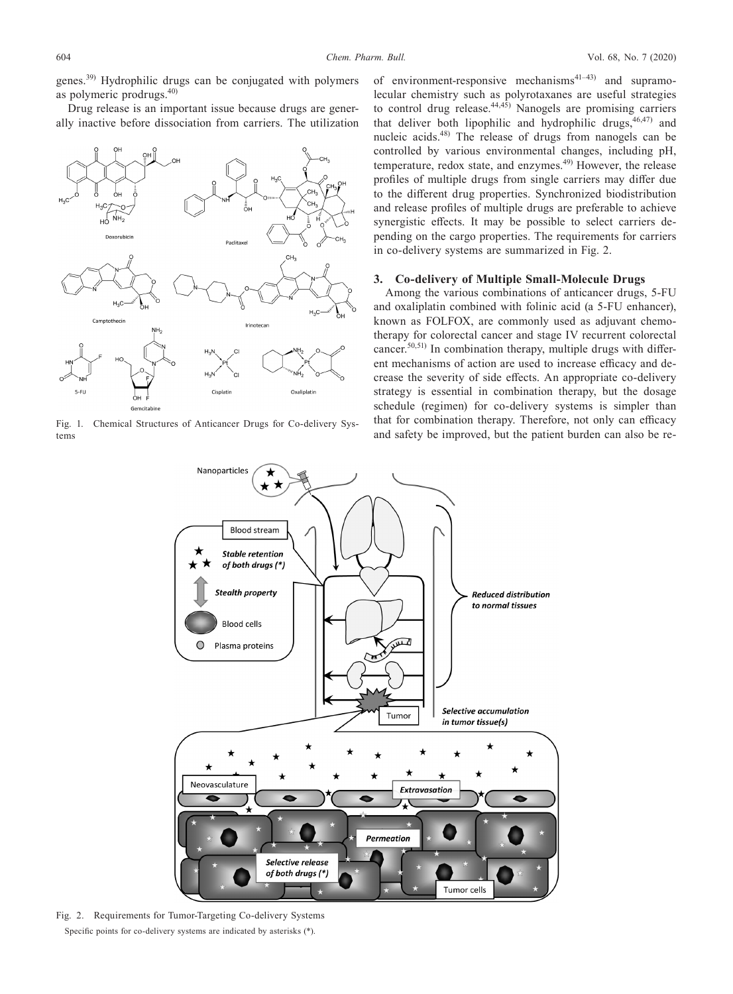genes.39) Hydrophilic drugs can be conjugated with polymers as polymeric prodrugs.40)

Drug release is an important issue because drugs are generally inactive before dissociation from carriers. The utilization



tems

of environment-responsive mechanisms<sup>41–43)</sup> and supramolecular chemistry such as polyrotaxanes are useful strategies to control drug release. $44,45$ ) Nanogels are promising carriers that deliver both lipophilic and hydrophilic drugs,  $46,47$  and nucleic acids.48) The release of drugs from nanogels can be controlled by various environmental changes, including pH, temperature, redox state, and enzymes. $49$  However, the release profiles of multiple drugs from single carriers may differ due to the different drug properties. Synchronized biodistribution and release profiles of multiple drugs are preferable to achieve synergistic effects. It may be possible to select carriers depending on the cargo properties. The requirements for carriers in co-delivery systems are summarized in Fig. 2.

# **3. Co-delivery of Multiple Small-Molecule Drugs**

Among the various combinations of anticancer drugs, 5-FU and oxaliplatin combined with folinic acid (a 5-FU enhancer), known as FOLFOX, are commonly used as adjuvant chemotherapy for colorectal cancer and stage IV recurrent colorectal cancer.<sup>50,51)</sup> In combination therapy, multiple drugs with different mechanisms of action are used to increase efficacy and decrease the severity of side effects. An appropriate co-delivery strategy is essential in combination therapy, but the dosage schedule (regimen) for co-delivery systems is simpler than that for combination therapy. Therefore, not only can efficacy Fig. 1. Chemical Structures of Anticancer Drugs for Co-delivery Sys-<br>that for combination therapy. Therefore, not only can efficacy<br>and safety be improved, but the patient burden can also be re-



Fig. 2. Requirements for Tumor-Targeting Co-delivery Systems Specific points for co-delivery systems are indicated by asterisks (\*).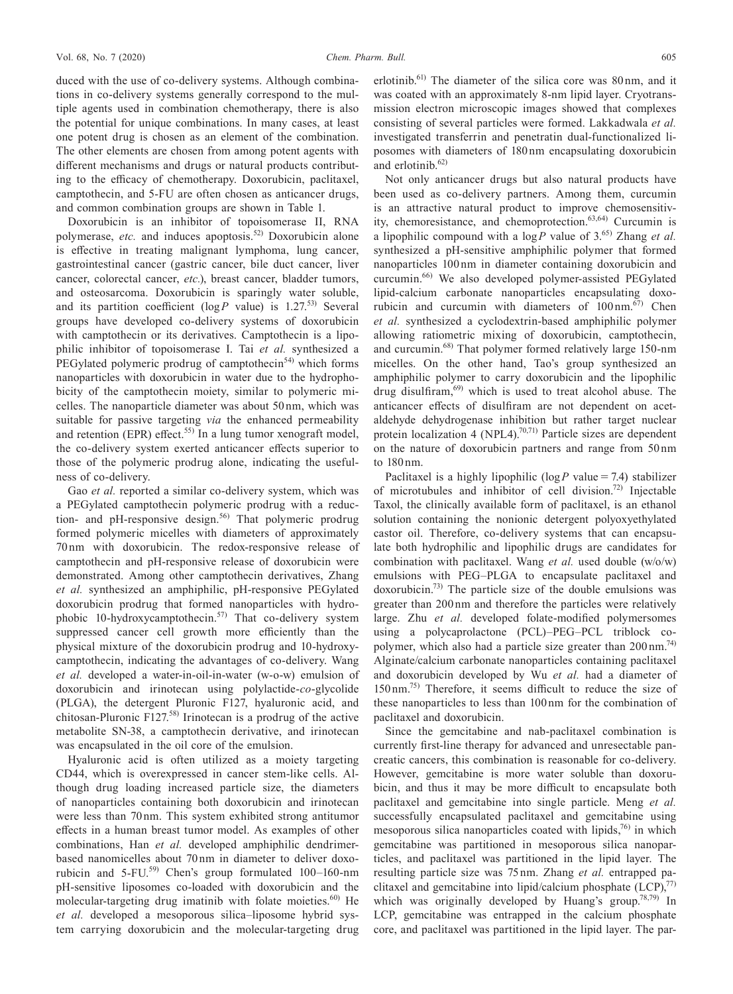duced with the use of co-delivery systems. Although combinations in co-delivery systems generally correspond to the multiple agents used in combination chemotherapy, there is also the potential for unique combinations. In many cases, at least one potent drug is chosen as an element of the combination. The other elements are chosen from among potent agents with different mechanisms and drugs or natural products contributing to the efficacy of chemotherapy. Doxorubicin, paclitaxel, camptothecin, and 5-FU are often chosen as anticancer drugs, and common combination groups are shown in Table 1.

Doxorubicin is an inhibitor of topoisomerase II, RNA polymerase, *etc.* and induces apoptosis.<sup>52)</sup> Doxorubicin alone is effective in treating malignant lymphoma, lung cancer, gastrointestinal cancer (gastric cancer, bile duct cancer, liver cancer, colorectal cancer, *etc.*), breast cancer, bladder tumors, and osteosarcoma. Doxorubicin is sparingly water soluble, and its partition coefficient ( $log P$  value) is 1.27.<sup>53)</sup> Several groups have developed co-delivery systems of doxorubicin with camptothecin or its derivatives. Camptothecin is a lipophilic inhibitor of topoisomerase I. Tai *et al.* synthesized a PEGylated polymeric prodrug of camptothecin<sup>54)</sup> which forms nanoparticles with doxorubicin in water due to the hydrophobicity of the camptothecin moiety, similar to polymeric micelles. The nanoparticle diameter was about 50 nm, which was suitable for passive targeting *via* the enhanced permeability and retention (EPR) effect.<sup>55)</sup> In a lung tumor xenograft model, the co-delivery system exerted anticancer effects superior to those of the polymeric prodrug alone, indicating the usefulness of co-delivery.

Gao *et al.* reported a similar co-delivery system, which was a PEGylated camptothecin polymeric prodrug with a reduction- and pH-responsive design.<sup>56)</sup> That polymeric prodrug formed polymeric micelles with diameters of approximately 70 nm with doxorubicin. The redox-responsive release of camptothecin and pH-responsive release of doxorubicin were demonstrated. Among other camptothecin derivatives, Zhang *et al.* synthesized an amphiphilic, pH-responsive PEGylated doxorubicin prodrug that formed nanoparticles with hydrophobic 10-hydroxycamptothecin.57) That co-delivery system suppressed cancer cell growth more efficiently than the physical mixture of the doxorubicin prodrug and 10-hydroxycamptothecin, indicating the advantages of co-delivery. Wang *et al.* developed a water-in-oil-in-water (w-o-w) emulsion of doxorubicin and irinotecan using polylactide-*co*-glycolide (PLGA), the detergent Pluronic F127, hyaluronic acid, and chitosan-Pluronic F127.58) Irinotecan is a prodrug of the active metabolite SN-38, a camptothecin derivative, and irinotecan was encapsulated in the oil core of the emulsion.

Hyaluronic acid is often utilized as a moiety targeting CD44, which is overexpressed in cancer stem-like cells. Although drug loading increased particle size, the diameters of nanoparticles containing both doxorubicin and irinotecan were less than 70 nm. This system exhibited strong antitumor effects in a human breast tumor model. As examples of other combinations, Han *et al.* developed amphiphilic dendrimerbased nanomicelles about 70 nm in diameter to deliver doxorubicin and  $5$ -FU.<sup>59)</sup> Chen's group formulated  $100-160$ -nm pH-sensitive liposomes co-loaded with doxorubicin and the molecular-targeting drug imatinib with folate moieties. $60$  He *et al.* developed a mesoporous silica–liposome hybrid system carrying doxorubicin and the molecular-targeting drug

erlotinib.61) The diameter of the silica core was 80 nm, and it was coated with an approximately 8-nm lipid layer. Cryotransmission electron microscopic images showed that complexes consisting of several particles were formed. Lakkadwala *et al.* investigated transferrin and penetratin dual-functionalized liposomes with diameters of 180 nm encapsulating doxorubicin and erlotinib.62)

Not only anticancer drugs but also natural products have been used as co-delivery partners. Among them, curcumin is an attractive natural product to improve chemosensitivity, chemoresistance, and chemoprotection.63,64) Curcumin is a lipophilic compound with a  $log P$  value of 3.<sup>65)</sup> Zhang *et al.* synthesized a pH-sensitive amphiphilic polymer that formed nanoparticles 100 nm in diameter containing doxorubicin and curcumin.66) We also developed polymer-assisted PEGylated lipid-calcium carbonate nanoparticles encapsulating doxorubicin and curcumin with diameters of  $100 \text{ nm}$ .<sup>67)</sup> Chen *et al.* synthesized a cyclodextrin-based amphiphilic polymer allowing ratiometric mixing of doxorubicin, camptothecin, and curcumin.68) That polymer formed relatively large 150-nm micelles. On the other hand, Tao's group synthesized an amphiphilic polymer to carry doxorubicin and the lipophilic drug disulfiram,<sup>69)</sup> which is used to treat alcohol abuse. The anticancer effects of disulfiram are not dependent on acetaldehyde dehydrogenase inhibition but rather target nuclear protein localization 4 (NPL4).<sup>70,71)</sup> Particle sizes are dependent on the nature of doxorubicin partners and range from 50 nm to 180 nm.

Paclitaxel is a highly lipophilic ( $log P$  value = 7.4) stabilizer of microtubules and inhibitor of cell division.72) Injectable Taxol, the clinically available form of paclitaxel, is an ethanol solution containing the nonionic detergent polyoxyethylated castor oil. Therefore, co-delivery systems that can encapsulate both hydrophilic and lipophilic drugs are candidates for combination with paclitaxel. Wang *et al.* used double (w/o/w) emulsions with PEG–PLGA to encapsulate paclitaxel and doxorubicin.73) The particle size of the double emulsions was greater than 200 nm and therefore the particles were relatively large. Zhu *et al.* developed folate-modified polymersomes using a polycaprolactone (PCL)–PEG–PCL triblock copolymer, which also had a particle size greater than  $200 \text{ nm}^{74}$ . Alginate/calcium carbonate nanoparticles containing paclitaxel and doxorubicin developed by Wu *et al.* had a diameter of 150 nm.75) Therefore, it seems difficult to reduce the size of these nanoparticles to less than 100 nm for the combination of paclitaxel and doxorubicin.

Since the gemcitabine and nab-paclitaxel combination is currently first-line therapy for advanced and unresectable pancreatic cancers, this combination is reasonable for co-delivery. However, gemcitabine is more water soluble than doxorubicin, and thus it may be more difficult to encapsulate both paclitaxel and gemcitabine into single particle. Meng *et al.* successfully encapsulated paclitaxel and gemcitabine using mesoporous silica nanoparticles coated with lipids, $76$  in which gemcitabine was partitioned in mesoporous silica nanoparticles, and paclitaxel was partitioned in the lipid layer. The resulting particle size was 75 nm. Zhang *et al.* entrapped paclitaxel and gemcitabine into lipid/calcium phosphate  $(LCP)$ , $^{77}$ ) which was originally developed by Huang's group.<sup>78,79)</sup> In LCP, gemcitabine was entrapped in the calcium phosphate core, and paclitaxel was partitioned in the lipid layer. The par-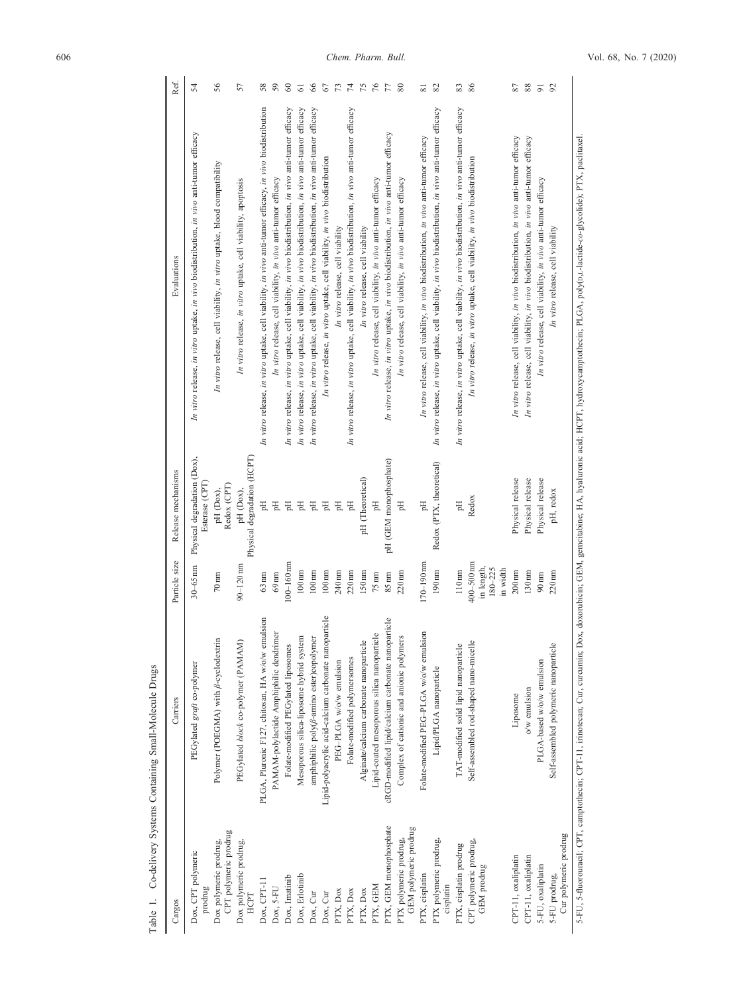| Ref.               | 54                                                                                      | 56                                                                     | 57                                                           | 58                                                                                                      | 59                                                            | 60                                                                                                      | 5                                                                                                       | 66                                                                                                      | 67                                                                         | 73                               | 74                                                                                                      | 75                                      | $76\,$                                                        | 77                                                                                      | 80                                                            | $\overline{\infty}$                                                                    | 82                                                                                                      | 83                                                                                                      | 86                                                                         | 78                                                                                     | $8\,$                                                                                  | $\overline{9}$                                                | 92                                     |  |
|--------------------|-----------------------------------------------------------------------------------------|------------------------------------------------------------------------|--------------------------------------------------------------|---------------------------------------------------------------------------------------------------------|---------------------------------------------------------------|---------------------------------------------------------------------------------------------------------|---------------------------------------------------------------------------------------------------------|---------------------------------------------------------------------------------------------------------|----------------------------------------------------------------------------|----------------------------------|---------------------------------------------------------------------------------------------------------|-----------------------------------------|---------------------------------------------------------------|-----------------------------------------------------------------------------------------|---------------------------------------------------------------|----------------------------------------------------------------------------------------|---------------------------------------------------------------------------------------------------------|---------------------------------------------------------------------------------------------------------|----------------------------------------------------------------------------|----------------------------------------------------------------------------------------|----------------------------------------------------------------------------------------|---------------------------------------------------------------|----------------------------------------|--|
| Evaluations        | In vitro release, in vitro uptake, in vivo biodistribution, in vivo anti-tumor efficacy | In vitro release, cell viability, in vitro uptake, blood compatibility | In vitro release, in vitro uptake, cell viability, apoptosis | In vitro release, in vitro uptake, cell viability, in vivo anti-tumor efficacy, in vivo biodistribution | In vitro release, cell viability, in vivo anti-tumor efficacy | In vitro release, in vitro uptake, cell viability, in vivo biodistribution, in vivo anti-tumor efficacy | In vitro release, in vitro uptake, cell viability, in vivo biodistribution, in vivo anti-tumor efficacy | In vitro release, in vitro uptake, cell viability, in vivo biodistribution, in vivo anti-tumor efficacy | In vitro release, in vitro uptake, cell viability, in vivo biodistribution | In vitro release, cell viability | In vitro release, in vitro uptake, cell viability, in vivo biodistribution, in vivo anti-tumor efficacy | In vitro release, cell viability        | In vitro release, cell viability, in vivo anti-tumor efficacy | In vitro release, in vitro uptake, in vivo biodistribution, in vivo anti-tumor efficacy | In vitro release, cell viability, in vivo anti-tumor efficacy | In vitro release, cell viability, in vivo biodistribution, in vivo anti-tumor efficacy | In vitro release, in vitro uptake, cell viability, in vivo biodistribution, in vivo anti-tumor efficacy | In vitro release, in vitro uptake, cell viability, in vivo biodistribution, in vivo anti-tumor efficacy | In vitro release, in vitro uptake, cell viability, in vivo biodistribution | In vitro release, cell viability, in vivo biodistribution, in vivo anti-tumor efficacy | In vitro release, cell viability, in vivo biodistribution, in vivo anti-tumor efficacy | In vitro release, cell viability, in vivo anti-tumor efficacy | In vitro release, cell viability       |  |
| Release mechanisms | Physical degradation (Dox),<br>Esterase (CPT)                                           | Redox (CPT)<br>pH (Dox),                                               | Physical degradation (HCPT)<br>pH (Dox),                     | Hq                                                                                                      | Flq                                                           | Eq                                                                                                      | Eq                                                                                                      | Eq                                                                                                      | $\mathbb{H}$                                                               | Hq                               | Flq                                                                                                     | pH (Theoretical)                        | Hq                                                            | pH (GEM monophosphate)                                                                  | Hq                                                            | Flq                                                                                    | Redox (PTX, theoretical)                                                                                | $\mathbb{H}^{\mathbf{d}}$                                                                               | Redox                                                                      | Physical release                                                                       | Physical release                                                                       | Physical release                                              | pH, redox                              |  |
| Particle size      | $30 - 65$ nm                                                                            | $70 \text{ nm}$                                                        | $90 - 120$ nm                                                | $63 \text{ nm}$                                                                                         | $69 \text{ nm}$                                               | $100 - 160$ nm                                                                                          | $100 \,\mathrm{nm}$                                                                                     | $100 \,\mathrm{nm}$                                                                                     | $100 \,\mathrm{nm}$                                                        | 240 nm                           | $220 \text{ nm}$                                                                                        | 150nm                                   | $75 \text{ nm}$                                               | $85 \text{ nm}$                                                                         | 220nm                                                         | $170 - 190$ nm                                                                         | 190nm                                                                                                   | 110nm                                                                                                   | $400 - 500$ nm<br>in length,<br>$180 - 225$<br>in width                    | $200$ nm                                                                               | 130nm                                                                                  | $90 \text{ nm}$                                               | 220nm                                  |  |
| Carriers           | PEGylated graft co-polymer                                                              | Polymer (POEGMA) with $\beta$ -cyclodextrin                            | PEGylated block co-polymer (PAMAM)                           | PLGA, Pluronic F127, chitosan, HA w/o/w emulsion                                                        | PAMAM-polylactide Amphiphilic dendrimer                       | Folate-modified PEGylated liposomes                                                                     | Mesoporous silica-liposome hybrid system                                                                | amphiphilic poly( <i>ß</i> -amino ester)copolymer                                                       | Lipid-polyacrylic acid-calcium carbonate nanoparticle                      | PEG-PLGA w/o/w emulsion          | Folate-modified polymersomes                                                                            | Alginate/calcium carbonate nanoparticle | Lipid-coated mesoporous silica nanoparticle                   | cRGD-modified lipid/calcium carbonate nanoparticle                                      | Complex of cationic and anionic polymers                      | Folate-modified PEG-PLGA w/o/w emulsion                                                | Lipid/PLGA nanoparticle                                                                                 | TAT-modified solid lipid nanoparticle                                                                   | Self-assembled rod-shaped nano-micelle                                     | Liposome                                                                               | o/w emulsion                                                                           | PLGA-based w/o/w emulsion                                     | Self-assembled polymeric nanoparticle  |  |
| Cargos             | Dox, CPT polymeric<br>prodrug                                                           | CPT polymeric prodrug<br>Dox polymeric prodrug,                        | Dox polymeric prodrug,<br>HCPT                               | $Dox, CPT-11$                                                                                           | Dox, 5-FU                                                     | Dox, Imatinib                                                                                           | Dox, Erlotinib                                                                                          | Dox, Cur                                                                                                | Dox, Cur                                                                   | PTX, Dox                         | PTX, Dox                                                                                                | PTX, Dox                                | PTX, GEM                                                      | PTX, GEM monophosphate                                                                  | GEM polymeric prodrug<br>PTX polymeric prodrug,               | PTX, cisplatin                                                                         | PTX polymeric prodrug,<br>cisplatin                                                                     | PTX, cisplatin prodrug                                                                                  | CPT polymeric prodrug,<br>GEM prodrug                                      | CPT-11, oxaliplatin                                                                    | CPT-11, oxaliplatin                                                                    | 5-FU, oxaliplatin                                             | Cur polymeric prodrug<br>5-FU prodrug, |  |

Table 1. Co-delivery Systems Containing Small-Molecule Drugs Table 1. Co-delivery Systems Containing Small-Molecule Drugs

5-FU, 5-fluorouraeli; CPT, eamptothecin; CPT-11, irinotecan; Cur, eureumin; Dox, doxorubicin; GEM, gemeitabine; HA, hyaluronic acid; HCPT, hydroxycamptothecin; PLGA, poly(0,1-lactide-co-glycolide); PTX, paclitaxel. 5-FU, 5-fluorouracil; CPT, camptothecin; CPT-11, irinotecan; Cur, curcumin; Dox, doxorubicin; GEM, gemcitabine; HA, hyaluronic acid; HCPT, hydroxycamptothecin; PLGA, poly(D,L-lactide-*co*-glycolide); PTX, paclitaxel.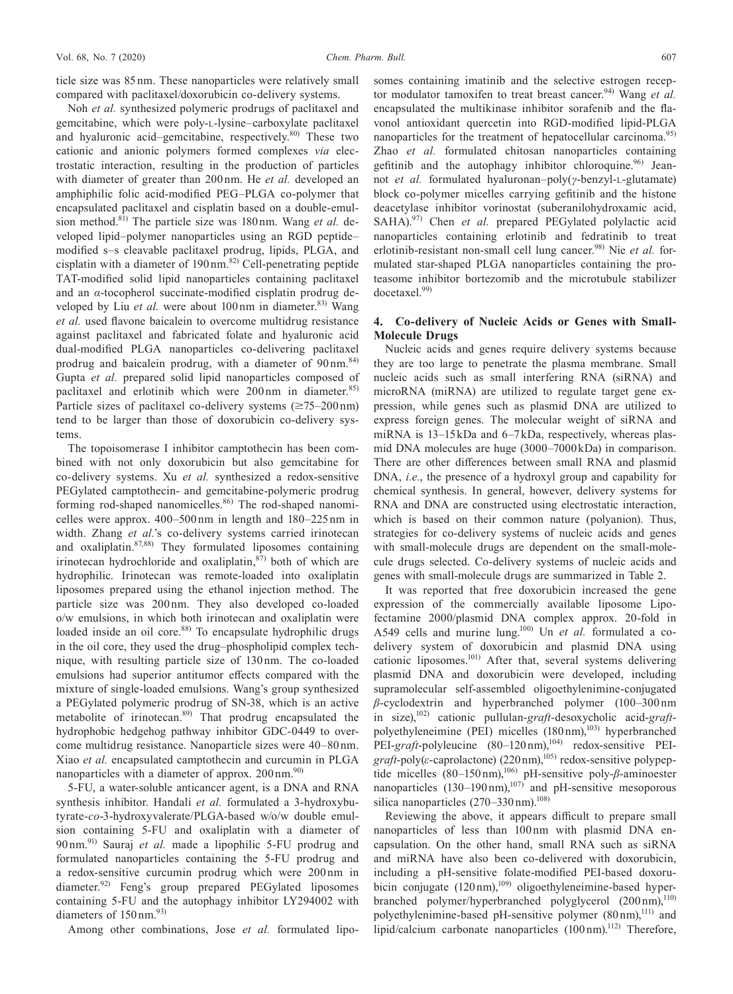Noh *et al.* synthesized polymeric prodrugs of paclitaxel and gemcitabine, which were poly-L-lysine–carboxylate paclitaxel and hyaluronic acid–gemcitabine, respectively.<sup>80)</sup> These two cationic and anionic polymers formed complexes *via* electrostatic interaction, resulting in the production of particles with diameter of greater than 200 nm. He *et al.* developed an amphiphilic folic acid-modified PEG–PLGA co-polymer that encapsulated paclitaxel and cisplatin based on a double-emulsion method.<sup>81)</sup> The particle size was 180 nm. Wang *et al.* developed lipid–polymer nanoparticles using an RGD peptide– modified s–s cleavable paclitaxel prodrug, lipids, PLGA, and cisplatin with a diameter of  $190 \text{ nm}$ .<sup>82)</sup> Cell-penetrating peptide TAT-modified solid lipid nanoparticles containing paclitaxel and an *α*-tocopherol succinate-modified cisplatin prodrug developed by Liu *et al.* were about 100 nm in diameter.<sup>83)</sup> Wang *et al.* used flavone baicalein to overcome multidrug resistance against paclitaxel and fabricated folate and hyaluronic acid dual-modified PLGA nanoparticles co-delivering paclitaxel prodrug and baicalein prodrug, with a diameter of 90 nm.<sup>84)</sup> Gupta *et al.* prepared solid lipid nanoparticles composed of paclitaxel and erlotinib which were 200 nm in diameter.<sup>85)</sup> Particle sizes of paclitaxel co-delivery systems  $(\geq 75-200 \text{ nm})$ tend to be larger than those of doxorubicin co-delivery systems.

The topoisomerase I inhibitor camptothecin has been combined with not only doxorubicin but also gemcitabine for co-delivery systems. Xu *et al.* synthesized a redox-sensitive PEGylated camptothecin- and gemcitabine-polymeric prodrug forming rod-shaped nanomicelles.<sup>86)</sup> The rod-shaped nanomicelles were approx. 400–500 nm in length and 180–225 nm in width. Zhang *et al.*'s co-delivery systems carried irinotecan and oxaliplatin.87,88) They formulated liposomes containing irinotecan hydrochloride and oxaliplatin, $87$  both of which are hydrophilic. Irinotecan was remote-loaded into oxaliplatin liposomes prepared using the ethanol injection method. The particle size was 200 nm. They also developed co-loaded o/w emulsions, in which both irinotecan and oxaliplatin were loaded inside an oil core.<sup>88)</sup> To encapsulate hydrophilic drugs in the oil core, they used the drug–phospholipid complex technique, with resulting particle size of 130 nm. The co-loaded emulsions had superior antitumor effects compared with the mixture of single-loaded emulsions. Wang's group synthesized a PEGylated polymeric prodrug of SN-38, which is an active metabolite of irinotecan.<sup>89)</sup> That prodrug encapsulated the hydrophobic hedgehog pathway inhibitor GDC-0449 to overcome multidrug resistance. Nanoparticle sizes were 40–80 nm. Xiao *et al.* encapsulated camptothecin and curcumin in PLGA nanoparticles with a diameter of approx. 200 nm.<sup>90)</sup>

5-FU, a water-soluble anticancer agent, is a DNA and RNA synthesis inhibitor. Handali *et al.* formulated a 3-hydroxybutyrate-*co*-3-hydroxyvalerate/PLGA-based w/o/w double emulsion containing 5-FU and oxaliplatin with a diameter of 90 nm.91) Sauraj *et al.* made a lipophilic 5-FU prodrug and formulated nanoparticles containing the 5-FU prodrug and a redox-sensitive curcumin prodrug which were 200 nm in diameter.92) Feng's group prepared PEGylated liposomes containing 5-FU and the autophagy inhibitor LY294002 with diameters of  $150 \text{ nm}$ .<sup>93)</sup>

Among other combinations, Jose *et al.* formulated lipo-

somes containing imatinib and the selective estrogen receptor modulator tamoxifen to treat breast cancer.<sup>94)</sup> Wang *et al.* encapsulated the multikinase inhibitor sorafenib and the flavonol antioxidant quercetin into RGD-modified lipid-PLGA nanoparticles for the treatment of hepatocellular carcinoma.<sup>95)</sup> Zhao *et al.* formulated chitosan nanoparticles containing gefitinib and the autophagy inhibitor chloroquine.<sup>96)</sup> Jeannot *et al.* formulated hyaluronan–poly(*γ*-benzyl-L-glutamate) block co-polymer micelles carrying gefitinib and the histone deacetylase inhibitor vorinostat (suberanilohydroxamic acid, SAHA).<sup>97)</sup> Chen *et al.* prepared PEGylated polylactic acid nanoparticles containing erlotinib and fedratinib to treat erlotinib-resistant non-small cell lung cancer.<sup>98)</sup> Nie *et al.* formulated star-shaped PLGA nanoparticles containing the proteasome inhibitor bortezomib and the microtubule stabilizer docetaxel.99)

# **4. Co-delivery of Nucleic Acids or Genes with Small-Molecule Drugs**

Nucleic acids and genes require delivery systems because they are too large to penetrate the plasma membrane. Small nucleic acids such as small interfering RNA (siRNA) and microRNA (miRNA) are utilized to regulate target gene expression, while genes such as plasmid DNA are utilized to express foreign genes. The molecular weight of siRNA and miRNA is 13–15 kDa and 6–7 kDa, respectively, whereas plasmid DNA molecules are huge (3000–7000 kDa) in comparison. There are other differences between small RNA and plasmid DNA, *i.e.*, the presence of a hydroxyl group and capability for chemical synthesis. In general, however, delivery systems for RNA and DNA are constructed using electrostatic interaction, which is based on their common nature (polyanion). Thus, strategies for co-delivery systems of nucleic acids and genes with small-molecule drugs are dependent on the small-molecule drugs selected. Co-delivery systems of nucleic acids and genes with small-molecule drugs are summarized in Table 2.

It was reported that free doxorubicin increased the gene expression of the commercially available liposome Lipofectamine 2000/plasmid DNA complex approx. 20-fold in A549 cells and murine lung.100) Un *et al.* formulated a codelivery system of doxorubicin and plasmid DNA using cationic liposomes.101) After that, several systems delivering plasmid DNA and doxorubicin were developed, including supramolecular self-assembled oligoethylenimine-conjugated *β*-cyclodextrin and hyperbranched polymer (100–300 nm in size),102) cationic pullulan-*graft*-desoxycholic acid-*graft*polyethyleneimine (PEI) micelles  $(180 \text{ nm})$ ,<sup>103)</sup> hyperbranched PEI-graft-polyleucine (80–120 nm),<sup>104)</sup> redox-sensitive PEI*graft*-poly(*ε*-caprolactone) (220 nm),<sup>105)</sup> redox-sensitive polypeptide micelles (80–150 nm),<sup>106)</sup> pH-sensitive poly-β-aminoester nanoparticles  $(130-190 \text{ nm})$ ,<sup>107)</sup> and pH-sensitive mesoporous silica nanoparticles  $(270-330)$  nm).<sup>108</sup>

Reviewing the above, it appears difficult to prepare small nanoparticles of less than 100 nm with plasmid DNA encapsulation. On the other hand, small RNA such as siRNA and miRNA have also been co-delivered with doxorubicin, including a pH-sensitive folate-modified PEI-based doxorubicin conjugate (120 nm),<sup>109)</sup> oligoethyleneimine-based hyperbranched polymer/hyperbranched polyglycerol (200 nm),<sup>110)</sup> polyethylenimine-based pH-sensitive polymer  $(80 \text{ nm})$ ,<sup>111)</sup> and lipid/calcium carbonate nanoparticles  $(100 \text{ nm})$ .<sup>112)</sup> Therefore,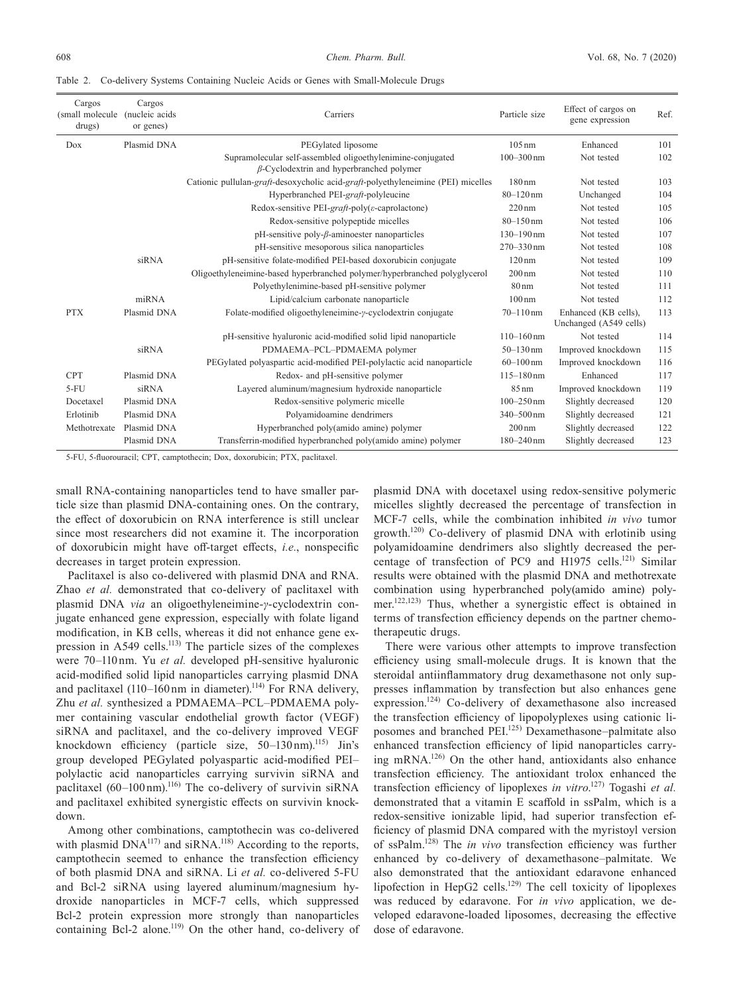Table 2. Co-delivery Systems Containing Nucleic Acids or Genes with Small-Molecule Drugs

| Cargos<br>(small molecule<br>drugs) | Cargos<br>nucleic acids)<br>or genes) | Carriers                                                                                                      | Particle size       | Effect of cargos on<br>gene expression         | Ref. |
|-------------------------------------|---------------------------------------|---------------------------------------------------------------------------------------------------------------|---------------------|------------------------------------------------|------|
| Dox                                 | Plasmid DNA                           | PEGylated liposome                                                                                            | $105 \text{ nm}$    | Enhanced                                       | 101  |
|                                     |                                       | Supramolecular self-assembled oligoethylenimine-conjugated<br>$\beta$ -Cyclodextrin and hyperbranched polymer | $100 - 300$ nm      | Not tested                                     | 102  |
|                                     |                                       | Cationic pullulan-graft-desoxycholic acid-graft-polyethyleneimine (PEI) micelles                              | 180nm               | Not tested                                     | 103  |
|                                     |                                       | Hyperbranched PEI-graft-polyleucine                                                                           | $80 - 120$ nm       | Unchanged                                      | 104  |
|                                     |                                       | Redox-sensitive PEI-graft-poly( $\varepsilon$ -caprolactone)                                                  | $220 \,\mathrm{nm}$ | Not tested                                     | 105  |
|                                     |                                       | Redox-sensitive polypeptide micelles                                                                          | $80 - 150$ nm       | Not tested                                     | 106  |
|                                     |                                       | $pH$ -sensitive poly- $\beta$ -aminoester nanoparticles                                                       | $130 - 190$ nm      | Not tested                                     | 107  |
|                                     |                                       | pH-sensitive mesoporous silica nanoparticles                                                                  | 270-330 nm          | Not tested                                     | 108  |
|                                     | siRNA                                 | pH-sensitive folate-modified PEI-based doxorubicin conjugate                                                  | $120 \,\mathrm{nm}$ | Not tested                                     | 109  |
|                                     |                                       | Oligoethyleneimine-based hyperbranched polymer/hyperbranched polyglycerol                                     | $200 \,\mathrm{nm}$ | Not tested                                     | 110  |
|                                     |                                       | Polyethylenimine-based pH-sensitive polymer                                                                   | $80 \text{ nm}$     | Not tested                                     | 111  |
|                                     | $m$ <sub>RNA</sub>                    | Lipid/calcium carbonate nanoparticle                                                                          | 100nm               | Not tested                                     | 112  |
| <b>PTX</b>                          | Plasmid DNA                           | Folate-modified oligoethyleneimine-y-cyclodextrin conjugate                                                   | $70 - 110$ nm       | Enhanced (KB cells),<br>Unchanged (A549 cells) | 113  |
|                                     |                                       | pH-sensitive hyaluronic acid-modified solid lipid nanoparticle                                                | $110 - 160$ nm      | Not tested                                     | 114  |
|                                     | siRNA                                 | PDMAEMA-PCL-PDMAEMA polymer                                                                                   | $50 - 130$ nm       | Improved knockdown                             | 115  |
|                                     |                                       | PEGylated polyaspartic acid-modified PEI-polylactic acid nanoparticle                                         | $60 - 100$ nm       | Improved knockdown                             | 116  |
| <b>CPT</b>                          | Plasmid DNA                           | Redox- and pH-sensitive polymer                                                                               | $115 - 180$ nm      | Enhanced                                       | 117  |
| $5-FU$                              | siRNA                                 | Layered aluminum/magnesium hydroxide nanoparticle                                                             | $85 \,\mathrm{nm}$  | Improved knockdown                             | 119  |
| Docetaxel                           | Plasmid DNA                           | Redox-sensitive polymeric micelle                                                                             | $100 - 250$ nm      | Slightly decreased                             | 120  |
| Erlotinib                           | Plasmid DNA                           | Polyamidoamine dendrimers                                                                                     | 340-500 nm          | Slightly decreased                             | 121  |
| Methotrexate                        | Plasmid DNA                           | Hyperbranched poly(amido amine) polymer                                                                       | $200 \,\mathrm{nm}$ | Slightly decreased                             | 122  |
|                                     | Plasmid DNA                           | Transferrin-modified hyperbranched poly(amido amine) polymer                                                  | $180 - 240$ nm      | Slightly decreased                             | 123  |

5-FU, 5-fluorouracil; CPT, camptothecin; Dox, doxorubicin; PTX, paclitaxel.

small RNA-containing nanoparticles tend to have smaller particle size than plasmid DNA-containing ones. On the contrary, the effect of doxorubicin on RNA interference is still unclear since most researchers did not examine it. The incorporation of doxorubicin might have off-target effects, *i.e.*, nonspecific decreases in target protein expression.

Paclitaxel is also co-delivered with plasmid DNA and RNA. Zhao *et al.* demonstrated that co-delivery of paclitaxel with plasmid DNA *via* an oligoethyleneimine-*γ*-cyclodextrin conjugate enhanced gene expression, especially with folate ligand modification, in KB cells, whereas it did not enhance gene expression in  $A549$  cells.<sup>113)</sup> The particle sizes of the complexes were 70–110 nm. Yu *et al.* developed pH-sensitive hyaluronic acid-modified solid lipid nanoparticles carrying plasmid DNA and paclitaxel  $(110-160 \text{ nm})$  in diameter).<sup>114)</sup> For RNA delivery, Zhu *et al.* synthesized a PDMAEMA–PCL–PDMAEMA polymer containing vascular endothelial growth factor (VEGF) siRNA and paclitaxel, and the co-delivery improved VEGF knockdown efficiency (particle size,  $50-130 \text{ nm}$ ).<sup>115)</sup> Jin's group developed PEGylated polyaspartic acid-modified PEI– polylactic acid nanoparticles carrying survivin siRNA and paclitaxel  $(60-100 \text{ nm})$ .<sup>116)</sup> The co-delivery of survivin siRNA and paclitaxel exhibited synergistic effects on survivin knockdown.

Among other combinations, camptothecin was co-delivered with plasmid  $DNA^{117}$  and siRNA.<sup>118</sup> According to the reports, camptothecin seemed to enhance the transfection efficiency of both plasmid DNA and siRNA. Li *et al.* co-delivered 5-FU and Bcl-2 siRNA using layered aluminum/magnesium hydroxide nanoparticles in MCF-7 cells, which suppressed Bcl-2 protein expression more strongly than nanoparticles containing Bcl-2 alone.<sup>119)</sup> On the other hand, co-delivery of

plasmid DNA with docetaxel using redox-sensitive polymeric micelles slightly decreased the percentage of transfection in MCF-7 cells, while the combination inhibited *in vivo* tumor growth.120) Co-delivery of plasmid DNA with erlotinib using polyamidoamine dendrimers also slightly decreased the percentage of transfection of PC9 and H1975 cells.<sup>121)</sup> Similar results were obtained with the plasmid DNA and methotrexate combination using hyperbranched poly(amido amine) polymer.122,123) Thus, whether a synergistic effect is obtained in terms of transfection efficiency depends on the partner chemotherapeutic drugs.

There were various other attempts to improve transfection efficiency using small-molecule drugs. It is known that the steroidal antiinflammatory drug dexamethasone not only suppresses inflammation by transfection but also enhances gene expression.<sup>124)</sup> Co-delivery of dexamethasone also increased the transfection efficiency of lipopolyplexes using cationic liposomes and branched PEI.125) Dexamethasone–palmitate also enhanced transfection efficiency of lipid nanoparticles carrying mRNA.126) On the other hand, antioxidants also enhance transfection efficiency. The antioxidant trolox enhanced the transfection efficiency of lipoplexes *in vitro*. 127) Togashi *et al.* demonstrated that a vitamin E scaffold in ssPalm, which is a redox-sensitive ionizable lipid, had superior transfection efficiency of plasmid DNA compared with the myristoyl version of ssPalm.128) The *in vivo* transfection efficiency was further enhanced by co-delivery of dexamethasone–palmitate. We also demonstrated that the antioxidant edaravone enhanced lipofection in HepG2 cells.129) The cell toxicity of lipoplexes was reduced by edaravone. For *in vivo* application, we developed edaravone-loaded liposomes, decreasing the effective dose of edaravone.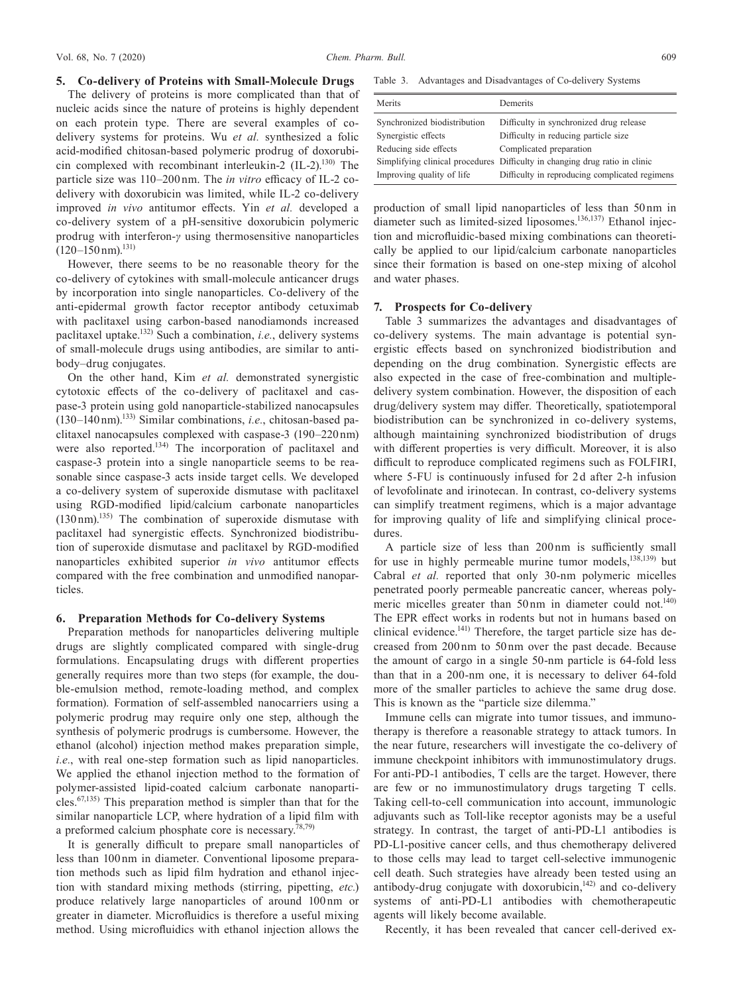#### **5. Co-delivery of Proteins with Small-Molecule Drugs**

The delivery of proteins is more complicated than that of nucleic acids since the nature of proteins is highly dependent on each protein type. There are several examples of codelivery systems for proteins. Wu *et al.* synthesized a folic acid-modified chitosan-based polymeric prodrug of doxorubicin complexed with recombinant interleukin-2 (IL-2).<sup>130)</sup> The particle size was 110–200 nm. The *in vitro* efficacy of IL-2 codelivery with doxorubicin was limited, while IL-2 co-delivery improved *in vivo* antitumor effects. Yin *et al.* developed a co-delivery system of a pH-sensitive doxorubicin polymeric prodrug with interferon-*γ* using thermosensitive nanoparticles  $(120-150 \text{ nm})$ .<sup>131)</sup>

However, there seems to be no reasonable theory for the co-delivery of cytokines with small-molecule anticancer drugs by incorporation into single nanoparticles. Co-delivery of the anti-epidermal growth factor receptor antibody cetuximab with paclitaxel using carbon-based nanodiamonds increased paclitaxel uptake.132) Such a combination, *i.e.*, delivery systems of small-molecule drugs using antibodies, are similar to antibody–drug conjugates.

On the other hand, Kim *et al.* demonstrated synergistic cytotoxic effects of the co-delivery of paclitaxel and caspase-3 protein using gold nanoparticle-stabilized nanocapsules  $(130-140 \text{ nm})$ <sup>133</sup> Similar combinations, *i.e.*, chitosan-based paclitaxel nanocapsules complexed with caspase-3 (190–220 nm) were also reported.<sup>134)</sup> The incorporation of paclitaxel and caspase-3 protein into a single nanoparticle seems to be reasonable since caspase-3 acts inside target cells. We developed a co-delivery system of superoxide dismutase with paclitaxel using RGD-modified lipid/calcium carbonate nanoparticles  $(130 \text{ nm})^{135}$  The combination of superoxide dismutase with paclitaxel had synergistic effects. Synchronized biodistribution of superoxide dismutase and paclitaxel by RGD-modified nanoparticles exhibited superior *in vivo* antitumor effects compared with the free combination and unmodified nanoparticles.

#### **6. Preparation Methods for Co-delivery Systems**

Preparation methods for nanoparticles delivering multiple drugs are slightly complicated compared with single-drug formulations. Encapsulating drugs with different properties generally requires more than two steps (for example, the double-emulsion method, remote-loading method, and complex formation). Formation of self-assembled nanocarriers using a polymeric prodrug may require only one step, although the synthesis of polymeric prodrugs is cumbersome. However, the ethanol (alcohol) injection method makes preparation simple, *i.e.*, with real one-step formation such as lipid nanoparticles. We applied the ethanol injection method to the formation of polymer-assisted lipid-coated calcium carbonate nanoparti $cles.67,135)$  This preparation method is simpler than that for the similar nanoparticle LCP, where hydration of a lipid film with a preformed calcium phosphate core is necessary.<sup>78,79)</sup>

It is generally difficult to prepare small nanoparticles of less than 100 nm in diameter. Conventional liposome preparation methods such as lipid film hydration and ethanol injection with standard mixing methods (stirring, pipetting, *etc.*) produce relatively large nanoparticles of around 100 nm or greater in diameter. Microfluidics is therefore a useful mixing method. Using microfluidics with ethanol injection allows the

Table 3. Advantages and Disadvantages of Co-delivery Systems

| Merits                       | Demerits                                                                    |
|------------------------------|-----------------------------------------------------------------------------|
| Synchronized biodistribution | Difficulty in synchronized drug release                                     |
| Synergistic effects          | Difficulty in reducing particle size                                        |
| Reducing side effects        | Complicated preparation                                                     |
|                              | Simplifying clinical procedures Difficulty in changing drug ratio in clinic |
| Improving quality of life    | Difficulty in reproducing complicated regimens                              |

production of small lipid nanoparticles of less than 50 nm in diameter such as limited-sized liposomes.<sup>136,137)</sup> Ethanol injection and microfluidic-based mixing combinations can theoretically be applied to our lipid/calcium carbonate nanoparticles since their formation is based on one-step mixing of alcohol and water phases.

### **7. Prospects for Co-delivery**

Table 3 summarizes the advantages and disadvantages of co-delivery systems. The main advantage is potential synergistic effects based on synchronized biodistribution and depending on the drug combination. Synergistic effects are also expected in the case of free-combination and multipledelivery system combination. However, the disposition of each drug/delivery system may differ. Theoretically, spatiotemporal biodistribution can be synchronized in co-delivery systems, although maintaining synchronized biodistribution of drugs with different properties is very difficult. Moreover, it is also difficult to reproduce complicated regimens such as FOLFIRI, where 5-FU is continuously infused for 2 d after 2-h infusion of levofolinate and irinotecan. In contrast, co-delivery systems can simplify treatment regimens, which is a major advantage for improving quality of life and simplifying clinical procedures.

A particle size of less than 200 nm is sufficiently small for use in highly permeable murine tumor models, $138,139$ ) but Cabral *et al.* reported that only 30-nm polymeric micelles penetrated poorly permeable pancreatic cancer, whereas polymeric micelles greater than 50 nm in diameter could not.<sup>140)</sup> The EPR effect works in rodents but not in humans based on clinical evidence. $141)$  Therefore, the target particle size has decreased from 200 nm to 50 nm over the past decade. Because the amount of cargo in a single 50-nm particle is 64-fold less than that in a 200-nm one, it is necessary to deliver 64-fold more of the smaller particles to achieve the same drug dose. This is known as the "particle size dilemma."

Immune cells can migrate into tumor tissues, and immunotherapy is therefore a reasonable strategy to attack tumors. In the near future, researchers will investigate the co-delivery of immune checkpoint inhibitors with immunostimulatory drugs. For anti-PD-1 antibodies, T cells are the target. However, there are few or no immunostimulatory drugs targeting T cells. Taking cell-to-cell communication into account, immunologic adjuvants such as Toll-like receptor agonists may be a useful strategy. In contrast, the target of anti-PD-L1 antibodies is PD-L1-positive cancer cells, and thus chemotherapy delivered to those cells may lead to target cell-selective immunogenic cell death. Such strategies have already been tested using an antibody-drug conjugate with doxorubicin,<sup>142)</sup> and co-delivery systems of anti-PD-L1 antibodies with chemotherapeutic agents will likely become available.

Recently, it has been revealed that cancer cell-derived ex-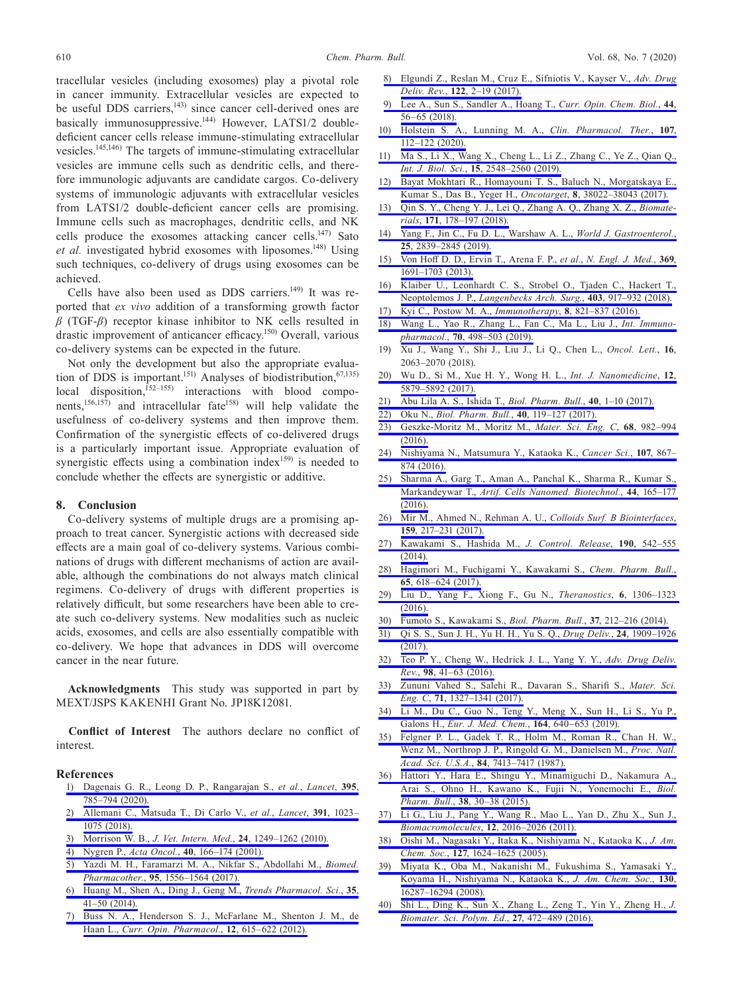tracellular vesicles (including exosomes) play a pivotal role in cancer immunity. Extracellular vesicles are expected to be useful DDS carriers,<sup>143)</sup> since cancer cell-derived ones are basically immunosuppressive.<sup>144)</sup> However, LATS1/2 doubledeficient cancer cells release immune-stimulating extracellular vesicles.145,146) The targets of immune-stimulating extracellular vesicles are immune cells such as dendritic cells, and therefore immunologic adjuvants are candidate cargos. Co-delivery systems of immunologic adjuvants with extracellular vesicles from LATS1/2 double-deficient cancer cells are promising. Immune cells such as macrophages, dendritic cells, and NK cells produce the exosomes attacking cancer cells.<sup>147)</sup> Sato et al. investigated hybrid exosomes with liposomes.<sup>148)</sup> Using such techniques, co-delivery of drugs using exosomes can be achieved.

Cells have also been used as DDS carriers.<sup>149)</sup> It was reported that *ex vivo* addition of a transforming growth factor *β* (TGF-*β*) receptor kinase inhibitor to NK cells resulted in drastic improvement of anticancer efficacy.<sup>150)</sup> Overall, various co-delivery systems can be expected in the future.

Not only the development but also the appropriate evaluation of DDS is important.<sup>151)</sup> Analyses of biodistribution,<sup>67,135)</sup> local disposition, $152-155$  interactions with blood components,<sup>156,157</sup>) and intracellular fate<sup>158)</sup> will help validate the usefulness of co-delivery systems and then improve them. Confirmation of the synergistic effects of co-delivered drugs is a particularly important issue. Appropriate evaluation of synergistic effects using a combination index<sup>159)</sup> is needed to conclude whether the effects are synergistic or additive.

#### **8. Conclusion**

Co-delivery systems of multiple drugs are a promising approach to treat cancer. Synergistic actions with decreased side effects are a main goal of co-delivery systems. Various combinations of drugs with different mechanisms of action are available, although the combinations do not always match clinical regimens. Co-delivery of drugs with different properties is relatively difficult, but some researchers have been able to create such co-delivery systems. New modalities such as nucleic acids, exosomes, and cells are also essentially compatible with co-delivery. We hope that advances in DDS will overcome cancer in the near future.

**Acknowledgments** This study was supported in part by MEXT/JSPS KAKENHI Grant No. JP18K12081.

**Conflict of Interest** The authors declare no conflict of interest.

#### **References**

- [1\) Dagenais G. R., Leong D. P., Rangarajan S.,](http://dx.doi.org/10.1016/S0140-6736(19)32007-0) *et al.*, *Lancet*, **395**, [785–794 \(2020\).](http://dx.doi.org/10.1016/S0140-6736(19)32007-0)
- [2\) Allemani C., Matsuda T., Di Carlo V.,](http://dx.doi.org/10.1016/S0140-6736(17)33326-3) *et al.*, *Lancet*, **391**, 1023– [1075 \(2018\).](http://dx.doi.org/10.1016/S0140-6736(17)33326-3)
- [3\) Morrison W. B.,](http://dx.doi.org/10.1111/j.1939-1676.2010.0590.x) *J. Vet. Intern. Med.*, **24**, 1249–1262 (2010).
- 4) Nygren P., *Acta Oncol.*, **40**[, 166–174 \(2001\).](http://dx.doi.org/10.1080/02841860151116204)
- [5\) Yazdi M. H., Faramarzi M. A., Nikfar S., Abdollahi M.,](http://dx.doi.org/10.1016/j.biopha.2017.09.088) *Biomed. Pharmacother.*, **95**[, 1556–1564 \(2017\).](http://dx.doi.org/10.1016/j.biopha.2017.09.088)
- [6\) Huang M., Shen A., Ding J., Geng M.,](http://dx.doi.org/10.1016/j.tips.2013.11.004) *Trends Pharmacol. Sci.*, **35**, [41–50 \(2014\).](http://dx.doi.org/10.1016/j.tips.2013.11.004)
- [7\) Buss N. A., Henderson S. J., McFarlane M., Shenton J. M., de](http://dx.doi.org/10.1016/j.coph.2012.08.001)  Haan L., *[Curr. Opin. Pharmacol.](http://dx.doi.org/10.1016/j.coph.2012.08.001)*, **12**, 615–622 (2012).
- [8\) Elgundi Z., Reslan M., Cruz E., Sifniotis V., Kayser V.,](http://dx.doi.org/10.1016/j.addr.2016.11.004) *Adv. Drug Deliv. Rev.*, **122**[, 2–19 \(2017\).](http://dx.doi.org/10.1016/j.addr.2016.11.004)
- [9\) Lee A., Sun S., Sandler A., Hoang T.,](http://dx.doi.org/10.1016/j.cbpa.2018.05.006) *Curr. Opin. Chem. Biol.*, **44**, [56–65 \(2018\).](http://dx.doi.org/10.1016/j.cbpa.2018.05.006)
- [10\) Holstein S. A., Lunning M. A.,](http://dx.doi.org/10.1002/cpt.1674) *Clin. Pharmacol. Ther.*, **107**, [112–122 \(2020\).](http://dx.doi.org/10.1002/cpt.1674)
- [11\) Ma S., Li X., Wang X., Cheng L., Li Z., Zhang C., Ye Z., Qian Q.,](http://dx.doi.org/10.7150/ijbs.34213)  *Int. J. Biol. Sci.*, **15**[, 2548–2560 \(2019\).](http://dx.doi.org/10.7150/ijbs.34213)
- [12\) Bayat Mokhtari R., Homayouni T. S., Baluch N., Morgatskaya E.,](http://dx.doi.org/10.18632/oncotarget.16723)  [Kumar S., Das B., Yeger H.,](http://dx.doi.org/10.18632/oncotarget.16723) *Oncotarget*, **8**, 38022–38043 (2017).
- [13\) Qin S. Y., Cheng Y. J., Lei Q., Zhang A. Q., Zhang X. Z.,](http://dx.doi.org/10.1016/j.biomaterials.2018.04.027) *Biomaterials*, **171**[, 178–197 \(2018\).](http://dx.doi.org/10.1016/j.biomaterials.2018.04.027)
- [14\) Yang F., Jin C., Fu D. L., Warshaw A. L.,](http://dx.doi.org/10.3748/wjg.v25.i23.2839) *World J. Gastroenterol.*, **25**[, 2839–2845 \(2019\).](http://dx.doi.org/10.3748/wjg.v25.i23.2839)
- [15\) Von Hoff D. D., Ervin T., Arena F. P.,](http://dx.doi.org/10.1056/NEJMoa1304369) *et al.*, *N. Engl. J. Med.*, **369**, [1691–1703 \(2013\).](http://dx.doi.org/10.1056/NEJMoa1304369)
- [16\) Klaiber U., Leonhardt C. S., Strobel O., Tjaden C., Hackert T.,](http://dx.doi.org/10.1007/s00423-018-1724-8)  Neoptolemos J. P., *[Langenbecks Arch. Surg.](http://dx.doi.org/10.1007/s00423-018-1724-8)*, **403**, 917–932 (2018).
- [17\) Kyi C., Postow M. A.,](http://dx.doi.org/10.2217/imt-2016-0002) *Immunotherapy*, **8**, 821–837 (2016).
- [18\) Wang L., Yao R., Zhang L., Fan C., Ma L., Liu J.,](http://dx.doi.org/10.1016/j.intimp.2019.01.010) *Int. Immunopharmacol.*, **70**[, 498–503 \(2019\).](http://dx.doi.org/10.1016/j.intimp.2019.01.010)
- 19) Xu J., Wang Y., Shi J., Liu J., Li Q., Chen L., *Oncol. Lett.*, **16**, 2063–2070 (2018).
- [20\) Wu D., Si M., Xue H. Y., Wong H. L.,](http://dx.doi.org/10.2147/IJN.S123437) *Int. J. Nanomedicine*, **12**, [5879–5892 \(2017\).](http://dx.doi.org/10.2147/IJN.S123437)
- [21\) Abu Lila A. S., Ishida T.,](http://dx.doi.org/10.1248/bpb.b16-00624) *Biol. Pharm. Bull.*, **40**, 1–10 (2017).
- 22) Oku N., *[Biol. Pharm. Bull.](http://dx.doi.org/10.1248/bpb.b16-00857)*, **40**, 119–127 (2017).
- [23\) Geszke-Moritz M., Moritz M.,](http://dx.doi.org/10.1016/j.msec.2016.05.119) *Mater. Sci. Eng. C*, **68**, 982–994 [\(2016\).](http://dx.doi.org/10.1016/j.msec.2016.05.119)
- [24\) Nishiyama N., Matsumura Y., Kataoka K.,](http://dx.doi.org/10.1111/cas.12960) *Cancer Sci.*, **107**, 867– [874 \(2016\).](http://dx.doi.org/10.1111/cas.12960)
- [25\) Sharma A., Garg T., Aman A., Panchal K., Sharma R., Kumar S.,](http://dx.doi.org/10.3109/21691401.2014.930745)  Markandeywar T., *[Artif. Cells Nanomed. Biotechnol.](http://dx.doi.org/10.3109/21691401.2014.930745)*, **44**, 165–177 [\(2016\).](http://dx.doi.org/10.3109/21691401.2014.930745)
- [26\) Mir M., Ahmed N., Rehman A. U.,](http://dx.doi.org/10.1016/j.colsurfb.2017.07.038) *Colloids Surf. B Biointerfaces*, **159**[, 217–231 \(2017\).](http://dx.doi.org/10.1016/j.colsurfb.2017.07.038)
- [27\) Kawakami S., Hashida M.,](http://dx.doi.org/10.1016/j.jconrel.2014.06.001) *J. Control. Release*, **190**, 542–555 [\(2014\).](http://dx.doi.org/10.1016/j.jconrel.2014.06.001)
- [28\) Hagimori M., Fuchigami Y., Kawakami S.,](http://dx.doi.org/10.1248/cpb.c17-00098) *Chem. Pharm. Bull.*, **65**[, 618–624 \(2017\).](http://dx.doi.org/10.1248/cpb.c17-00098)
- [29\) Liu D., Yang F., Xiong F., Gu N.,](http://dx.doi.org/10.7150/thno.14858) *Theranostics*, **6**, 1306–1323 [\(2016\).](http://dx.doi.org/10.7150/thno.14858)
- [30\) Fumoto S., Kawakami S.,](http://dx.doi.org/10.1248/bpb.b13-00703) *Biol. Pharm. Bull.*, **37**, 212–216 (2014).
- [31\) Qi S. S., Sun J. H., Yu H. H., Yu S. Q.,](http://dx.doi.org/10.1080/10717544.2017.1410256) *Drug Deliv.*, **24**, 1909–1926 [\(2017\).](http://dx.doi.org/10.1080/10717544.2017.1410256)
- [32\) Teo P. Y., Cheng W., Hedrick J. L., Yang Y. Y.,](http://dx.doi.org/10.1016/j.addr.2015.10.014) *Adv. Drug Deliv. Rev.*, **98**[, 41–63 \(2016\).](http://dx.doi.org/10.1016/j.addr.2015.10.014)
- [33\) Zununi Vahed S., Salehi R., Davaran S., Sharifi S.,](http://dx.doi.org/10.1016/j.msec.2016.11.073) *Mater. Sci. Eng. C*, **71**[, 1327–1341 \(2017\).](http://dx.doi.org/10.1016/j.msec.2016.11.073)
- [34\) Li M., Du C., Guo N., Teng Y., Meng X., Sun H., Li S., Yu P.,](http://dx.doi.org/10.1016/j.ejmech.2019.01.007)  Galons H., *[Eur. J. Med. Chem.](http://dx.doi.org/10.1016/j.ejmech.2019.01.007)*, **164**, 640–653 (2019).
- [35\) Felgner P. L., Gadek T. R., Holm M., Roman R., Chan H. W.,](http://dx.doi.org/10.1073/pnas.84.21.7413)  [Wenz M., Northrop J. P., Ringold G. M., Danielsen M.,](http://dx.doi.org/10.1073/pnas.84.21.7413) *Proc. Natl. Acad. Sci. U.S.A.*, **84**[, 7413–7417 \(1987\).](http://dx.doi.org/10.1073/pnas.84.21.7413)
- [36\) Hattori Y., Hara E., Shingu Y., Minamiguchi D., Nakamura A.,](http://dx.doi.org/10.1248/bpb.b14-00526)  [Arai S., Ohno H., Kawano K., Fujii N., Yonemochi E.,](http://dx.doi.org/10.1248/bpb.b14-00526) *Biol. Pharm. Bull.*, **38**[, 30–38 \(2015\).](http://dx.doi.org/10.1248/bpb.b14-00526)
- [37\) Li G., Liu J., Pang Y., Wang R., Mao L., Yan D., Zhu X., Sun J.,](http://dx.doi.org/10.1021/bm200372s)  *[Biomacromolecules](http://dx.doi.org/10.1021/bm200372s)*, **12**, 2016–2026 (2011).
- [38\) Oishi M., Nagasaki Y., Itaka K., Nishiyama N., Kataoka K.,](http://dx.doi.org/10.1021/ja044941d) *J. Am. Chem. Soc.*, **127**[, 1624–1625 \(2005\).](http://dx.doi.org/10.1021/ja044941d)
- [39\) Miyata K., Oba M., Nakanishi M., Fukushima S., Yamasaki Y.,](http://dx.doi.org/10.1021/ja804561g)  [Koyama H., Nishiyama N., Kataoka K.,](http://dx.doi.org/10.1021/ja804561g) *J. Am. Chem. Soc.*, **130**, [16287–16294 \(2008\).](http://dx.doi.org/10.1021/ja804561g)
- [40\) Shi L., Ding K., Sun X., Zhang L., Zeng T., Yin Y., Zheng H.,](http://dx.doi.org/10.1080/09205063.2016.1140502) *J. [Biomater. Sci. Polym. Ed.](http://dx.doi.org/10.1080/09205063.2016.1140502)*, **27**, 472–489 (2016).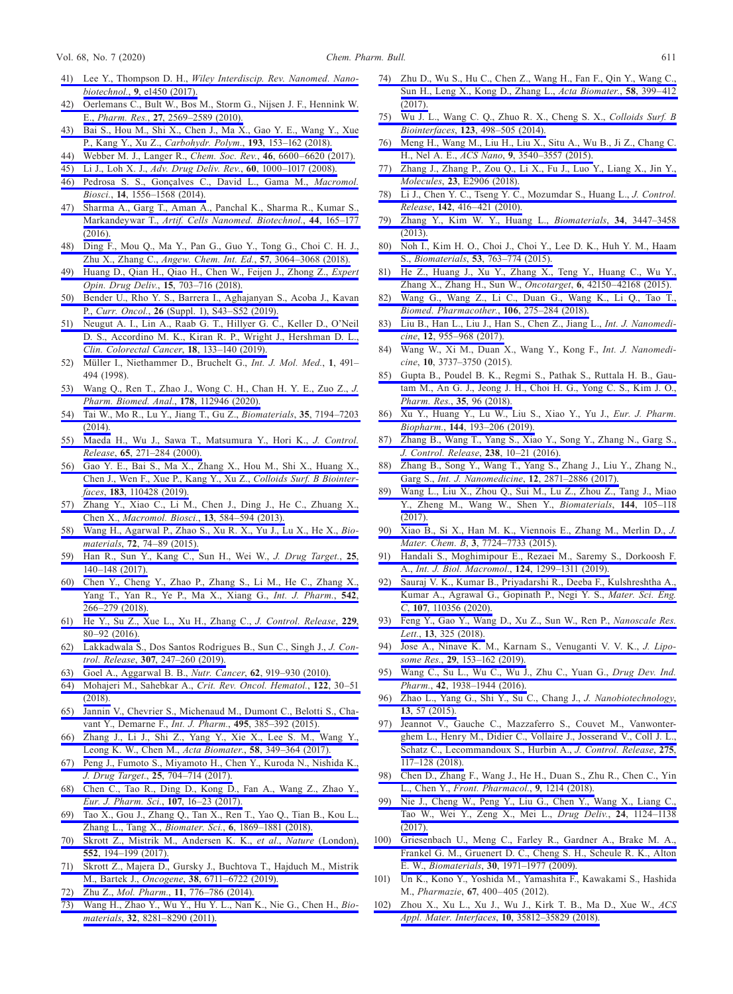- 41) Lee Y., Thompson D. H., *[Wiley Interdiscip. Rev. Nanomed. Nano](http://dx.doi.org/10.1002/wnan.1450)biotechnol.*, **9**[, e1450 \(2017\).](http://dx.doi.org/10.1002/wnan.1450)
- [42\) Oerlemans C., Bult W., Bos M., Storm G., Nijsen J. F., Hennink W.](http://dx.doi.org/10.1007/s11095-010-0233-4)  E., *Pharm. Res.*, **27**[, 2569–2589 \(2010\).](http://dx.doi.org/10.1007/s11095-010-0233-4)
- [43\) Bai S., Hou M., Shi X., Chen J., Ma X., Gao Y. E., Wang Y., Xue](http://dx.doi.org/10.1016/j.carbpol.2018.03.097)  [P., Kang Y., Xu Z.,](http://dx.doi.org/10.1016/j.carbpol.2018.03.097) *Carbohydr. Polym.*, **193**, 153–162 (2018).
- [44\) Webber M. J., Langer R.,](http://dx.doi.org/10.1039/C7CS00391A) *Chem. Soc. Rev.*, **46**, 6600–6620 (2017).
- 45) Li J., Loh X. J., *[Adv. Drug Deliv. Rev.](http://dx.doi.org/10.1016/j.addr.2008.02.011)*, **60**, 1000–1017 (2008).
- [46\) Pedrosa S. S., Gonçalves C., David L., Gama M.,](http://dx.doi.org/10.1002/mabi.201400135) *Macromol. Biosci.*, **14**[, 1556–1568 \(2014\).](http://dx.doi.org/10.1002/mabi.201400135)
- [47\) Sharma A., Garg T., Aman A., Panchal K., Sharma R., Kumar S.,](http://dx.doi.org/10.3109/21691401.2014.930745)  Markandeywar T., *[Artif. Cells Nanomed. Biotechnol.](http://dx.doi.org/10.3109/21691401.2014.930745)*, **44**, 165–177 [\(2016\).](http://dx.doi.org/10.3109/21691401.2014.930745)
- [48\) Ding F., Mou Q., Ma Y., Pan G., Guo Y., Tong G., Choi C. H. J.,](http://dx.doi.org/10.1002/anie.201711242)  Zhu X., Zhang C., *[Angew. Chem. Int. Ed.](http://dx.doi.org/10.1002/anie.201711242)*, **57**, 3064–3068 (2018).
- [49\) Huang D., Qian H., Qiao H., Chen W., Feijen J., Zhong Z.,](http://dx.doi.org/10.1080/17425247.2018.1497607) *Expert [Opin. Drug Deliv.](http://dx.doi.org/10.1080/17425247.2018.1497607)*, **15**, 703–716 (2018).
- [50\) Bender U., Rho Y. S., Barrera I., Aghajanyan S., Acoba J., Kavan](http://dx.doi.org/10.3747/co.26.5605)  P., *Curr. Oncol.*, **26** [\(Suppl. 1\), S43–S52 \(2019\).](http://dx.doi.org/10.3747/co.26.5605)
- [51\) Neugut A. I., Lin A., Raab G. T., Hillyer G. C., Keller D., O'Neil](http://dx.doi.org/10.1016/j.clcc.2019.01.005)  [D. S., Accordino M. K., Kiran R. P., Wright J., Hershman D. L.,](http://dx.doi.org/10.1016/j.clcc.2019.01.005)  *[Clin. Colorectal Cancer](http://dx.doi.org/10.1016/j.clcc.2019.01.005)*, **18**, 133–140 (2019).
- 52) Müller I., Niethammer D., Bruchelt G., *Int. J. Mol. Med.*, **1**, 491– 494 (1998).
- [53\) Wang Q., Ren T., Zhao J., Wong C. H., Chan H. Y. E., Zuo Z.,](http://dx.doi.org/10.1016/j.jpba.2019.112946) *J. [Pharm. Biomed. Anal.](http://dx.doi.org/10.1016/j.jpba.2019.112946)*, **178**, 112946 (2020).
- [54\) Tai W., Mo R., Lu Y., Jiang T., Gu Z.,](http://dx.doi.org/10.1016/j.biomaterials.2014.05.004) *Biomaterials*, **35**, 7194–7203 [\(2014\).](http://dx.doi.org/10.1016/j.biomaterials.2014.05.004)
- [55\) Maeda H., Wu J., Sawa T., Matsumura Y., Hori K.,](http://dx.doi.org/10.1016/S0168-3659(99)00248-5) *J. Control. Release*, **65**[, 271–284 \(2000\).](http://dx.doi.org/10.1016/S0168-3659(99)00248-5)
- [56\) Gao Y. E., Bai S., Ma X., Zhang X., Hou M., Shi X., Huang X.,](http://dx.doi.org/10.1016/j.colsurfb.2019.110428)  [Chen J., Wen F., Xue P., Kang Y., Xu Z.,](http://dx.doi.org/10.1016/j.colsurfb.2019.110428) *Colloids Surf. B Biointerfaces*, **183**[, 110428 \(2019\).](http://dx.doi.org/10.1016/j.colsurfb.2019.110428)
- [57\) Zhang Y., Xiao C., Li M., Chen J., Ding J., He C., Zhuang X.,](http://dx.doi.org/10.1002/mabi.201200441)  Chen X., *[Macromol. Biosci.](http://dx.doi.org/10.1002/mabi.201200441)*, **13**, 584–594 (2013).
- [58\) Wang H., Agarwal P., Zhao S., Xu R. X., Yu J., Lu X., He X.,](http://dx.doi.org/10.1016/j.biomaterials.2015.08.048) *Biomaterials*, **72**[, 74–89 \(2015\).](http://dx.doi.org/10.1016/j.biomaterials.2015.08.048)
- [59\) Han R., Sun Y., Kang C., Sun H., Wei W.,](http://dx.doi.org/10.1080/1061186X.2016.1207649) *J. Drug Target.*, **25**, [140–148 \(2017\).](http://dx.doi.org/10.1080/1061186X.2016.1207649)
- [60\) Chen Y., Cheng Y., Zhao P., Zhang S., Li M., He C., Zhang X.,](http://dx.doi.org/10.1016/j.ijpharm.2018.03.024)  [Yang T., Yan R., Ye P., Ma X., Xiang G.,](http://dx.doi.org/10.1016/j.ijpharm.2018.03.024) *Int. J. Pharm.*, **542**, [266–279 \(2018\).](http://dx.doi.org/10.1016/j.ijpharm.2018.03.024)
- [61\) He Y., Su Z., Xue L., Xu H., Zhang C.,](http://dx.doi.org/10.1016/j.jconrel.2016.03.001) *J. Control. Release*, **229**, [80–92 \(2016\).](http://dx.doi.org/10.1016/j.jconrel.2016.03.001)
- [62\) Lakkadwala S., Dos Santos Rodrigues B., Sun C., Singh J.,](http://dx.doi.org/10.1016/j.jconrel.2019.06.033) *J. Control. Release*, **307**[, 247–260 \(2019\).](http://dx.doi.org/10.1016/j.jconrel.2019.06.033)
- [63\) Goel A., Aggarwal B. B.,](http://dx.doi.org/10.1080/01635581.2010.509835) *Nutr. Cancer*, **62**, 919–930 (2010).
- [64\) Mohajeri M., Sahebkar A.,](http://dx.doi.org/10.1016/j.critrevonc.2017.12.005) *Crit. Rev. Oncol. Hematol.*, **122**, 30–51 [\(2018\).](http://dx.doi.org/10.1016/j.critrevonc.2017.12.005)
- [65\) Jannin V., Chevrier S., Michenaud M., Dumont C., Belotti S., Cha](http://dx.doi.org/10.1016/j.ijpharm.2015.09.009)[vant Y., Demarne F.,](http://dx.doi.org/10.1016/j.ijpharm.2015.09.009) *Int. J. Pharm.*, **495**, 385–392 (2015).
- [66\) Zhang J., Li J., Shi Z., Yang Y., Xie X., Lee S. M., Wang Y.,](http://dx.doi.org/10.1016/j.actbio.2017.04.029)  [Leong K. W., Chen M.,](http://dx.doi.org/10.1016/j.actbio.2017.04.029) *Acta Biomater.*, **58**, 349–364 (2017).
- [67\) Peng J., Fumoto S., Miyamoto H., Chen Y., Kuroda N., Nishida K.,](http://dx.doi.org/10.1080/1061186X.2017.1315687)  *J. Drug Target.*, **25**[, 704–714 \(2017\).](http://dx.doi.org/10.1080/1061186X.2017.1315687)
- [68\) Chen C., Tao R., Ding D., Kong D., Fan A., Wang Z., Zhao Y.,](http://dx.doi.org/10.1016/j.ejps.2017.06.030)  *[Eur. J. Pharm. Sci.](http://dx.doi.org/10.1016/j.ejps.2017.06.030)*, **107**, 16–23 (2017).
- [69\) Tao X., Gou J., Zhang Q., Tan X., Ren T., Yao Q., Tian B., Kou L.,](http://dx.doi.org/10.1039/C8BM00271A)  [Zhang L., Tang X.,](http://dx.doi.org/10.1039/C8BM00271A) *Biomater. Sci.*, **6**, 1869–1881 (2018).
- [70\) Skrott Z., Mistrik M., Andersen K. K.,](http://dx.doi.org/10.1038/nature25016) *et al.*, *Nature* (London), **552**[, 194–199 \(2017\).](http://dx.doi.org/10.1038/nature25016)
- [71\) Skrott Z., Majera D., Gursky J., Buchtova T., Hajduch M., Mistrik](http://dx.doi.org/10.1038/s41388-019-0915-2)  M., Bartek J., *Oncogene*, **38**[, 6711–6722 \(2019\).](http://dx.doi.org/10.1038/s41388-019-0915-2)
- 72) Zhu Z., *Mol. Pharm.*, **11**[, 776–786 \(2014\).](http://dx.doi.org/10.1021/mp500025e)
- [73\) Wang H., Zhao Y., Wu Y., Hu Y. L., Nan K., Nie G., Chen H.,](http://dx.doi.org/10.1016/j.biomaterials.2011.07.032) *Biomaterials*, **32**[, 8281–8290 \(2011\).](http://dx.doi.org/10.1016/j.biomaterials.2011.07.032)
- [74\) Zhu D., Wu S., Hu C., Chen Z., Wang H., Fan F., Qin Y., Wang C.,](http://dx.doi.org/10.1016/j.actbio.2017.06.017)  [Sun H., Leng X., Kong D., Zhang L.,](http://dx.doi.org/10.1016/j.actbio.2017.06.017) *Acta Biomater.*, **58**, 399–412  $(2017)$
- [75\) Wu J. L., Wang C. Q., Zhuo R. X., Cheng S. X.,](http://dx.doi.org/10.1016/j.colsurfb.2014.09.047) *Colloids Surf. B Biointerfaces*, **123**[, 498–505 \(2014\).](http://dx.doi.org/10.1016/j.colsurfb.2014.09.047)
- [76\) Meng H., Wang M., Liu H., Liu X., Situ A., Wu B., Ji Z., Chang C.](http://dx.doi.org/10.1021/acsnano.5b00510)  H., Nel A. E., *ACS Nano*, **9**[, 3540–3557 \(2015\).](http://dx.doi.org/10.1021/acsnano.5b00510)
- [77\) Zhang J., Zhang P., Zou Q., Li X., Fu J., Luo Y., Liang X., Jin Y.,](http://dx.doi.org/10.3390/molecules23112906)  *Molecules*, **23**[, E2906 \(2018\).](http://dx.doi.org/10.3390/molecules23112906)
- [78\) Li J., Chen Y. C., Tseng Y. C., Mozumdar S., Huang L.,](http://dx.doi.org/10.1016/j.jconrel.2009.11.008) *J. Control. Release*, **142**[, 416–421 \(2010\).](http://dx.doi.org/10.1016/j.jconrel.2009.11.008)
- [79\) Zhang Y., Kim W. Y., Huang L.,](http://dx.doi.org/10.1016/j.biomaterials.2013.01.063) *Biomaterials*, **34**, 3447–3458 [\(2013\).](http://dx.doi.org/10.1016/j.biomaterials.2013.01.063)
- [80\) Noh I., Kim H. O., Choi J., Choi Y., Lee D. K., Huh Y. M., Haam](http://dx.doi.org/10.1016/j.biomaterials.2015.03.006)  S., *Biomaterials*, **53**[, 763–774 \(2015\).](http://dx.doi.org/10.1016/j.biomaterials.2015.03.006)
- [81\) He Z., Huang J., Xu Y., Zhang X., Teng Y., Huang C., Wu Y.,](http://dx.doi.org/10.18632/oncotarget.6243)  [Zhang X., Zhang H., Sun W.,](http://dx.doi.org/10.18632/oncotarget.6243) *Oncotarget*, **6**, 42150–42168 (2015).
- [82\) Wang G., Wang Z., Li C., Duan G., Wang K., Li Q., Tao T.,](http://dx.doi.org/10.1016/j.biopha.2018.06.137)  *[Biomed. Pharmacother.](http://dx.doi.org/10.1016/j.biopha.2018.06.137)*, **106**, 275–284 (2018).
- [83\) Liu B., Han L., Liu J., Han S., Chen Z., Jiang L.,](http://dx.doi.org/10.2147/IJN.S115136) *Int. J. Nanomedicine*, **12**[, 955–968 \(2017\).](http://dx.doi.org/10.2147/IJN.S115136)
- 84) Wang W., Xi M., Duan X., Wang Y., Kong F., *Int. J. Nanomedicine*, **10**, 3737–3750 (2015).
- [85\) Gupta B., Poudel B. K., Regmi S., Pathak S., Ruttala H. B., Gau](http://dx.doi.org/10.1007/s11095-017-2337-6)[tam M., An G. J., Jeong J. H., Choi H. G., Yong C. S., Kim J. O.,](http://dx.doi.org/10.1007/s11095-017-2337-6)  *[Pharm. Res.](http://dx.doi.org/10.1007/s11095-017-2337-6)*, **35**, 96 (2018).
- [86\) Xu Y., Huang Y., Lu W., Liu S., Xiao Y., Yu J.,](http://dx.doi.org/10.1016/j.ejpb.2019.09.019) *Eur. J. Pharm. Biopharm.*, **144**[, 193–206 \(2019\).](http://dx.doi.org/10.1016/j.ejpb.2019.09.019)
- [87\) Zhang B., Wang T., Yang S., Xiao Y., Song Y., Zhang N., Garg S.,](http://dx.doi.org/10.1016/j.jconrel.2016.07.022)  *[J. Control. Release](http://dx.doi.org/10.1016/j.jconrel.2016.07.022)*, **238**, 10–21 (2016).
- [88\) Zhang B., Song Y., Wang T., Yang S., Zhang J., Liu Y., Zhang N.,](http://dx.doi.org/10.2147/IJN.S129091)  Garg S., *[Int. J. Nanomedicine](http://dx.doi.org/10.2147/IJN.S129091)*, **12**, 2871–2886 (2017).
- [89\) Wang L., Liu X., Zhou Q., Sui M., Lu Z., Zhou Z., Tang J., Miao](http://dx.doi.org/10.1016/j.biomaterials.2017.08.002)  [Y., Zheng M., Wang W., Shen Y.,](http://dx.doi.org/10.1016/j.biomaterials.2017.08.002) *Biomaterials*, **144**, 105–118 [\(2017\).](http://dx.doi.org/10.1016/j.biomaterials.2017.08.002)
- [90\) Xiao B., Si X., Han M. K., Viennois E., Zhang M., Merlin D.,](http://dx.doi.org/10.1039/C5TB01245G) *J. Mater. Chem. B*, **3**[, 7724–7733 \(2015\).](http://dx.doi.org/10.1039/C5TB01245G)
- [91\) Handali S., Moghimipour E., Rezaei M., Saremy S., Dorkoosh F.](http://dx.doi.org/10.1016/j.ijbiomac.2018.09.119)  A., *[Int. J. Biol. Macromol.](http://dx.doi.org/10.1016/j.ijbiomac.2018.09.119)*, **124**, 1299–1311 (2019).
- [92\) Sauraj V. K., Kumar B., Priyadarshi R., Deeba F., Kulshreshtha A.,](http://dx.doi.org/10.1016/j.msec.2019.110356)  [Kumar A., Agrawal G., Gopinath P., Negi Y. S.,](http://dx.doi.org/10.1016/j.msec.2019.110356) *Mater. Sci. Eng. C*, **107**[, 110356 \(2020\).](http://dx.doi.org/10.1016/j.msec.2019.110356)
- [93\) Feng Y., Gao Y., Wang D., Xu Z., Sun W., Ren P.,](http://dx.doi.org/10.1186/s11671-018-2716-x) *Nanoscale Res. Lett.*, **13**[, 325 \(2018\).](http://dx.doi.org/10.1186/s11671-018-2716-x)
- [94\) Jose A., Ninave K. M., Karnam S., Venuganti V. V. K.,](http://dx.doi.org/10.1080/08982104.2018.1502315) *J. Liposome Res.*, **29**[, 153–162 \(2019\).](http://dx.doi.org/10.1080/08982104.2018.1502315)
- [95\) Wang C., Su L., Wu C., Wu J., Zhu C., Yuan G.,](http://dx.doi.org/10.1080/03639045.2016.1185435) *Drug Dev. Ind. Pharm.*, **42**[, 1938–1944 \(2016\).](http://dx.doi.org/10.1080/03639045.2016.1185435)
- [96\) Zhao L., Yang G., Shi Y., Su C., Chang J.,](http://dx.doi.org/10.1186/s12951-015-0121-5) *J. Nanobiotechnology*, **13**[, 57 \(2015\).](http://dx.doi.org/10.1186/s12951-015-0121-5)
- [97\) Jeannot V., Gauche C., Mazzaferro S., Couvet M., Vanwonter](http://dx.doi.org/10.1016/j.jconrel.2018.02.024)[ghem L., Henry M., Didier C., Vollaire J., Josserand V., Coll J. L.,](http://dx.doi.org/10.1016/j.jconrel.2018.02.024)  [Schatz C., Lecommandoux S., Hurbin A.,](http://dx.doi.org/10.1016/j.jconrel.2018.02.024) *J. Control. Release*, **275**, [117–128 \(2018\).](http://dx.doi.org/10.1016/j.jconrel.2018.02.024)
- [98\) Chen D., Zhang F., Wang J., He H., Duan S., Zhu R., Chen C., Yin](http://dx.doi.org/10.3389/fphar.2018.01214)  L., Chen Y., *[Front. Pharmacol.](http://dx.doi.org/10.3389/fphar.2018.01214)*, **9**, 1214 (2018).
- [99\) Nie J., Cheng W., Peng Y., Liu G., Chen Y., Wang X., Liang C.,](http://dx.doi.org/10.1080/10717544.2017.1362677)  [Tao W., Wei Y., Zeng X., Mei L.,](http://dx.doi.org/10.1080/10717544.2017.1362677) *Drug Deliv.*, **24**, 1124–1138 [\(2017\).](http://dx.doi.org/10.1080/10717544.2017.1362677)
- [100\) Griesenbach U., Meng C., Farley R., Gardner A., Brake M. A.,](http://dx.doi.org/10.1016/j.biomaterials.2008.12.037)  [Frankel G. M., Gruenert D. C., Cheng S. H., Scheule R. K., Alton](http://dx.doi.org/10.1016/j.biomaterials.2008.12.037)  E. W., *Biomaterials*, **30**[, 1971–1977 \(2009\).](http://dx.doi.org/10.1016/j.biomaterials.2008.12.037)
- 101) Un K., Kono Y., Yoshida M., Yamashita F., Kawakami S., Hashida M., *Pharmazie*, **67**, 400–405 (2012).
- [102\) Zhou X., Xu L., Xu J., Wu J., Kirk T. B., Ma D., Xue W.,](http://dx.doi.org/10.1021/acsami.8b14517) *ACS [Appl. Mater. Interfaces](http://dx.doi.org/10.1021/acsami.8b14517)*, **10**, 35812–35829 (2018).